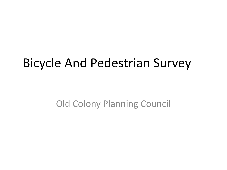#### Bicycle And Pedestrian Survey

Old Colony Planning Council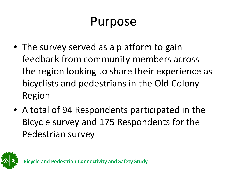#### Purpose

- The survey served as a platform to gain feedback from community members across the region looking to share their experience as bicyclists and pedestrians in the Old Colony Region
- A total of 94 Respondents participated in the Bicycle survey and 175 Respondents for the Pedestrian survey

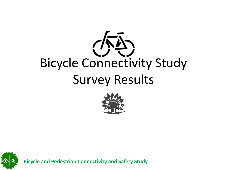## $\sqrt{N}\sum$ Bicycle Connectivity Study Survey Results



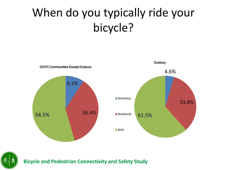#### When do you typically ride your bicycle?



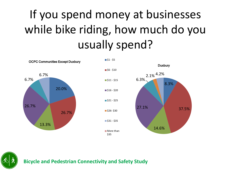#### If you spend money at businesses while bike riding, how much do you usually spend?

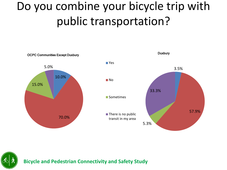#### Do you combine your bicycle trip with public transportation?



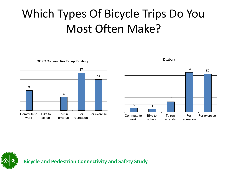#### Which Types Of Bicycle Trips Do You Most Often Make?



OCPC Communities Except Duxbury



**Duxbury** 

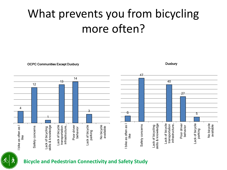#### What prevents you from bicycling more often?

OCPC Communities Except Duxbury



**Duxbury**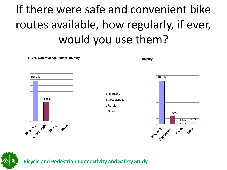### If there were safe and convenient bike routes available, how regularly, if ever, would you use them?

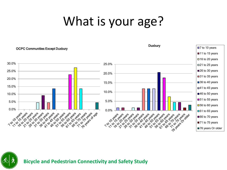## What is your age?

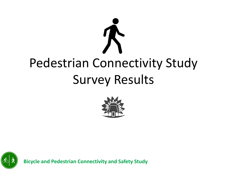# Pedestrian Connectivity Study Survey Results



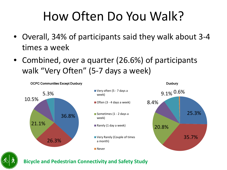#### How Often Do You Walk?

- Overall, 34% of participants said they walk about 3-4 times a week
- Combined, over a quarter (26.6%) of participants walk "Very Often" (5-7 days a week)



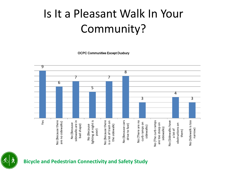#### Is It a Pleasant Walk In Your Community?

OCPC Communities Except Duxbury

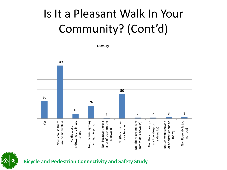#### Is It a Pleasant Walk In Your Community? (Cont'd)

**Duxbury** 

109 50 36 26 10 2 2 3 3 1 Yes sidewalks are in bad No (Because lighting No (Because there is No (Because cars No (There are no curb ot of obstructions on No (Sidewalk is too No (Because there No (The curb ramps No (Because there sidewalks are in bad No (Because lighting No (Because there is a lot of trash on the No (Because cars No (There are no curb No (The curb ramps No (Sidewalks have a lot of obstructions on No (Sidewalk is too are no sidewalks) a lot of trash on the No (Sidewalks have a are no sidewalks) ramps on sidewalks) ramps on sidewalks) are too steep on drive too fast) drive too fast) at night is poor) are too steep on at night is poor) No (Because No (Because sidewalks) sidewalk) narrow) shape) them)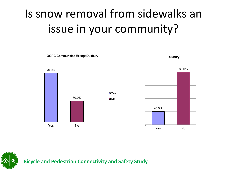#### Is snow removal from sidewalks an issue in your community?

**□**Yes **□**No

70.0% 30.0% Yes No

OCPC Communities Except Duxbury



**Duxbury**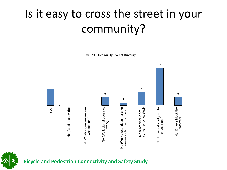#### Is it easy to cross the street in your community?

OCPC Community Except Duxbury



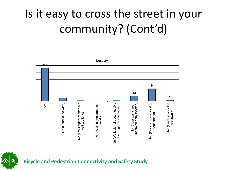#### Is it easy to cross the street in your community? (Cont'd)

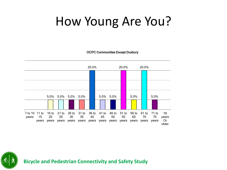#### How Young Are You?

OCPC Communities Except Duxbury

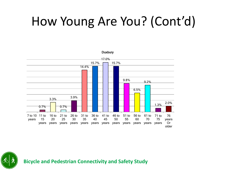## How Young Are You? (Cont'd)